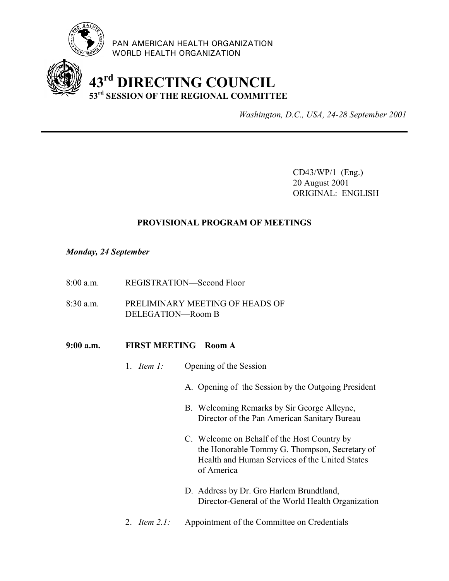

PAN AMERICAN HEALTH ORGANIZATION WORLD HEALTH ORGANIZATION

## **43rd DIRECTING COUNCIL 53rd SESSION OF THE REGIONAL COMMITTEE**

*Washington, D.C., USA, 24-28 September 2001*

CD43/WP/1 (Eng.) 20 August 2001 ORIGINAL: ENGLISH

## **PROVISIONAL PROGRAM OF MEETINGS**

## *Monday, 24 September*

- 8:00 a.m. REGISTRATION—Second Floor
- 8:30 a.m. PRELIMINARY MEETING OF HEADS OF DELEGATION—Room B

## **9:00 a.m. FIRST MEETING**—**Room A**

- 1. *Item 1:* Opening of the Session
	- A. Opening of the Session by the Outgoing President
	- B. Welcoming Remarks by Sir George Alleyne, Director of the Pan American Sanitary Bureau
	- C. Welcome on Behalf of the Host Country by the Honorable Tommy G. Thompson, Secretary of Health and Human Services of the United States of America
	- D. Address by Dr. Gro Harlem Brundtland, Director-General of the World Health Organization
- 2. *Item 2.1:* Appointment of the Committee on Credentials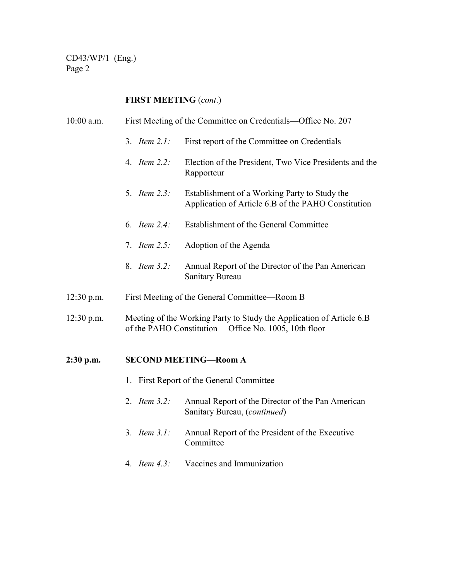CD43/WP/1 (Eng.) Page 2

## **FIRST MEETING** (*cont*.)

| $10:00$ a.m. | First Meeting of the Committee on Credentials—Office No. 207                                                                  |                                                                                                      |  |
|--------------|-------------------------------------------------------------------------------------------------------------------------------|------------------------------------------------------------------------------------------------------|--|
|              | 3. <i>Item <math>2.1</math>:</i>                                                                                              | First report of the Committee on Credentials                                                         |  |
|              | 4. <i>Item 2.2:</i>                                                                                                           | Election of the President, Two Vice Presidents and the<br>Rapporteur                                 |  |
|              | 5. <i>Item 2.3:</i>                                                                                                           | Establishment of a Working Party to Study the<br>Application of Article 6.B of the PAHO Constitution |  |
|              | 6. <i>Item 2.4:</i>                                                                                                           | Establishment of the General Committee                                                               |  |
|              | 7. <i>Item <math>2.5</math>:</i>                                                                                              | Adoption of the Agenda                                                                               |  |
|              | 8. <i>Item 3.2:</i>                                                                                                           | Annual Report of the Director of the Pan American<br>Sanitary Bureau                                 |  |
| $12:30$ p.m. | First Meeting of the General Committee—Room B                                                                                 |                                                                                                      |  |
| $12:30$ p.m. | Meeting of the Working Party to Study the Application of Article 6.B<br>of the PAHO Constitution— Office No. 1005, 10th floor |                                                                                                      |  |
| $2:30$ p.m.  | <b>SECOND MEETING-Room A</b>                                                                                                  |                                                                                                      |  |

- 1. First Report of the General Committee
- 2. *Item 3.2:* Annual Report of the Director of the Pan American Sanitary Bureau, (*continued*)
- 3. *Item 3.1:* Annual Report of the President of the Executive Committee
- 4. *Item 4.3:* Vaccines and Immunization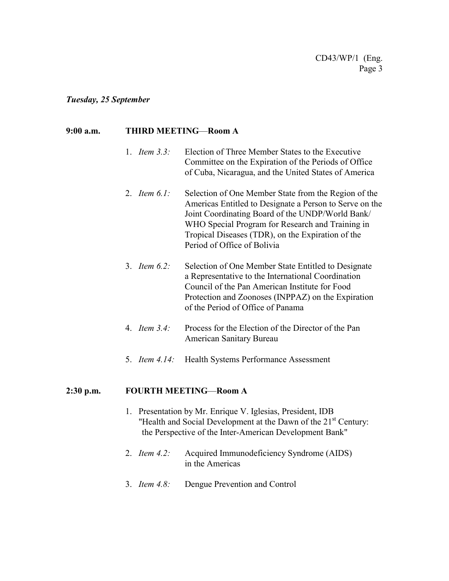#### *Tuesday, 25 September*

## **9:00 a.m. THIRD MEETING**—**Room A**

- 1. *Item 3.3:* Election of Three Member States to the Executive Committee on the Expiration of the Periods of Office of Cuba, Nicaragua, and the United States of America
- 2. *Item 6.1:* Selection of One Member State from the Region of the Americas Entitled to Designate a Person to Serve on the Joint Coordinating Board of the UNDP/World Bank/ WHO Special Program for Research and Training in Tropical Diseases (TDR), on the Expiration of the Period of Office of Bolivia
- 3. *Item 6.2:* Selection of One Member State Entitled to Designate a Representative to the International Coordination Council of the Pan American Institute for Food Protection and Zoonoses (INPPAZ) on the Expiration of the Period of Office of Panama
- 4. *Item 3.4:* Process for the Election of the Director of the Pan American Sanitary Bureau
- 5. *Item 4.14:* Health Systems Performance Assessment

#### **2:30 p.m. FOURTH MEETING**—**Room A**

- 1. Presentation by Mr. Enrique V. Iglesias, President, IDB "Health and Social Development at the Dawn of the 21<sup>st</sup> Century: the Perspective of the Inter-American Development Bank"
- 2. *Item 4.2:* Acquired Immunodeficiency Syndrome (AIDS) in the Americas
- 3. *Item 4.8:* Dengue Prevention and Control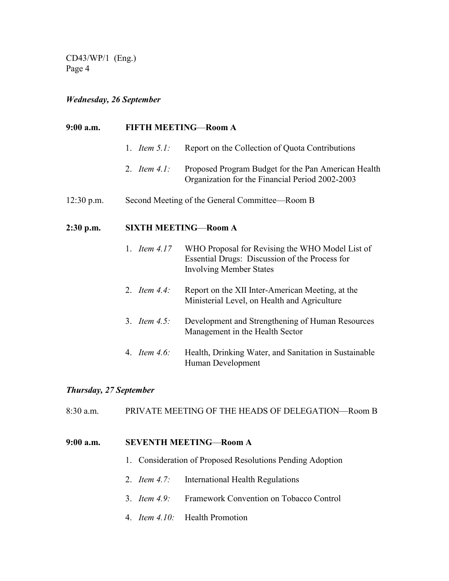CD43/WP/1 (Eng.) Page 4

## *Wednesday, 26 September*

| 9:00 a.m.    | <b>FIFTH MEETING-Room A</b>                    |                                                                                                                                     |  |
|--------------|------------------------------------------------|-------------------------------------------------------------------------------------------------------------------------------------|--|
|              | 1. <i>Item</i> $5.1$ :                         | Report on the Collection of Quota Contributions                                                                                     |  |
|              | 2. Item $4.1$ :                                | Proposed Program Budget for the Pan American Health<br>Organization for the Financial Period 2002-2003                              |  |
| $12:30$ p.m. | Second Meeting of the General Committee—Room B |                                                                                                                                     |  |
| 2:30 p.m.    | <b>SIXTH MEETING-Room A</b>                    |                                                                                                                                     |  |
|              | 1. <i>Item 4.17</i>                            | WHO Proposal for Revising the WHO Model List of<br>Essential Drugs: Discussion of the Process for<br><b>Involving Member States</b> |  |
|              | 2. <i>Item 4.4:</i>                            | Report on the XII Inter-American Meeting, at the<br>Ministerial Level, on Health and Agriculture                                    |  |
|              | 3. <i>Item 4.5:</i>                            | Development and Strengthening of Human Resources<br>Management in the Health Sector                                                 |  |
|              | 4. <i>Item 4.6:</i>                            | Health, Drinking Water, and Sanitation in Sustainable<br>Human Development                                                          |  |

## *Thursday, 27 September*

8:30 a.m. PRIVATE MEETING OF THE HEADS OF DELEGATION—Room B

## **9:00 a.m. SEVENTH MEETING**—**Room A**

- 1. Consideration of Proposed Resolutions Pending Adoption
- 2. *Item 4.7:* International Health Regulations
- 3. *Item 4.9:* Framework Convention on Tobacco Control
- 4. *Item 4.10:* Health Promotion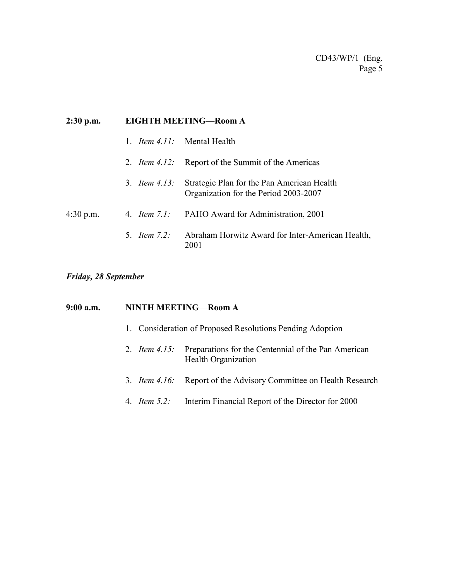| $2:30$ p.m. | <b>EIGHTH MEETING-Room A</b> |                                                                                     |  |
|-------------|------------------------------|-------------------------------------------------------------------------------------|--|
|             |                              | 1. <i>Item 4.11</i> : Mental Health                                                 |  |
|             |                              | 2. <i>Item 4.12</i> : Report of the Summit of the Americas                          |  |
|             | 3. <i>Item 4.13:</i>         | Strategic Plan for the Pan American Health<br>Organization for the Period 2003-2007 |  |
| $4:30$ p.m. |                              | 4. <i>Item 7.1</i> : PAHO Award for Administration, 2001                            |  |
|             | 5 <i>Item</i> $7.2$          | Abraham Horwitz Award for Inter-American Health,<br>2001                            |  |

## *Friday, 28 September*

# **9:00 a.m. NINTH MEETING**—**Room A** 1. Consideration of Proposed Resolutions Pending Adoption 2. *Item 4.15:* Preparations for the Centennial of the Pan American Health Organization 3. *Item 4.16:* Report of the Advisory Committee on Health Research 4. *Item 5.2:* Interim Financial Report of the Director for 2000